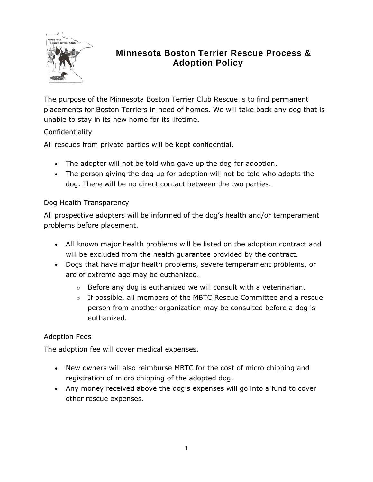

# **Minnesota Boston Terrier Rescue Process & Adoption Policy**

The purpose of the Minnesota Boston Terrier Club Rescue is to find permanent placements for Boston Terriers in need of homes. We will take back any dog that is unable to stay in its new home for its lifetime.

## Confidentiality

All rescues from private parties will be kept confidential.

- The adopter will not be told who gave up the dog for adoption.
- The person giving the dog up for adoption will not be told who adopts the dog. There will be no direct contact between the two parties.

### Dog Health Transparency

All prospective adopters will be informed of the dog's health and/or temperament problems before placement.

- All known major health problems will be listed on the adoption contract and will be excluded from the health guarantee provided by the contract.
- Dogs that have major health problems, severe temperament problems, or are of extreme age may be euthanized.
	- $\circ$  Before any dog is euthanized we will consult with a veterinarian.
	- $\circ$  If possible, all members of the MBTC Rescue Committee and a rescue person from another organization may be consulted before a dog is euthanized.

### Adoption Fees

The adoption fee will cover medical expenses.

- New owners will also reimburse MBTC for the cost of micro chipping and registration of micro chipping of the adopted dog.
- Any money received above the dog's expenses will go into a fund to cover other rescue expenses.